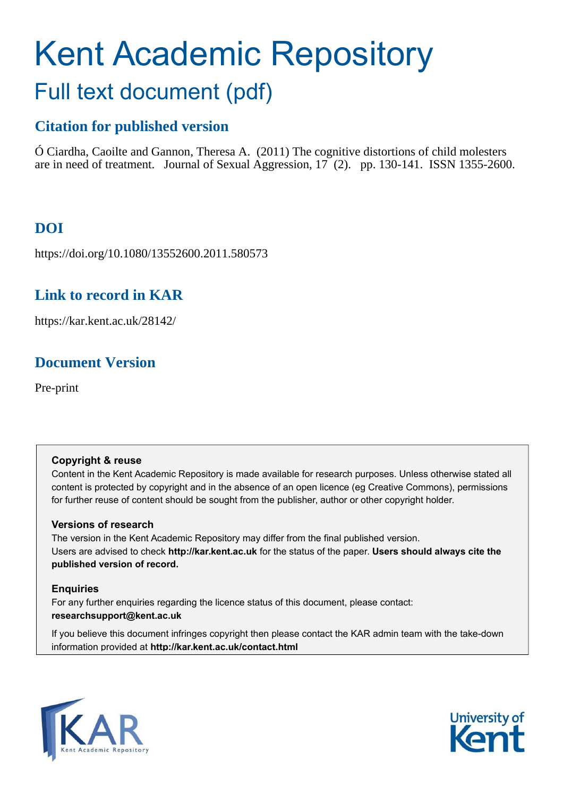# Kent Academic Repository Full text document (pdf)

# **Citation for published version**

Ó Ciardha, Caoilte and Gannon, Theresa A. (2011) The cognitive distortions of child molesters are in need of treatment. Journal of Sexual Aggression, 17 (2). pp. 130-141. ISSN 1355-2600.

# **DOI**

https://doi.org/10.1080/13552600.2011.580573

# **Link to record in KAR**

https://kar.kent.ac.uk/28142/

# **Document Version**

Pre-print

## **Copyright & reuse**

Content in the Kent Academic Repository is made available for research purposes. Unless otherwise stated all content is protected by copyright and in the absence of an open licence (eg Creative Commons), permissions for further reuse of content should be sought from the publisher, author or other copyright holder.

## **Versions of research**

The version in the Kent Academic Repository may differ from the final published version. Users are advised to check **http://kar.kent.ac.uk** for the status of the paper. **Users should always cite the published version of record.**

## **Enquiries**

For any further enquiries regarding the licence status of this document, please contact: **researchsupport@kent.ac.uk**

If you believe this document infringes copyright then please contact the KAR admin team with the take-down information provided at **http://kar.kent.ac.uk/contact.html**



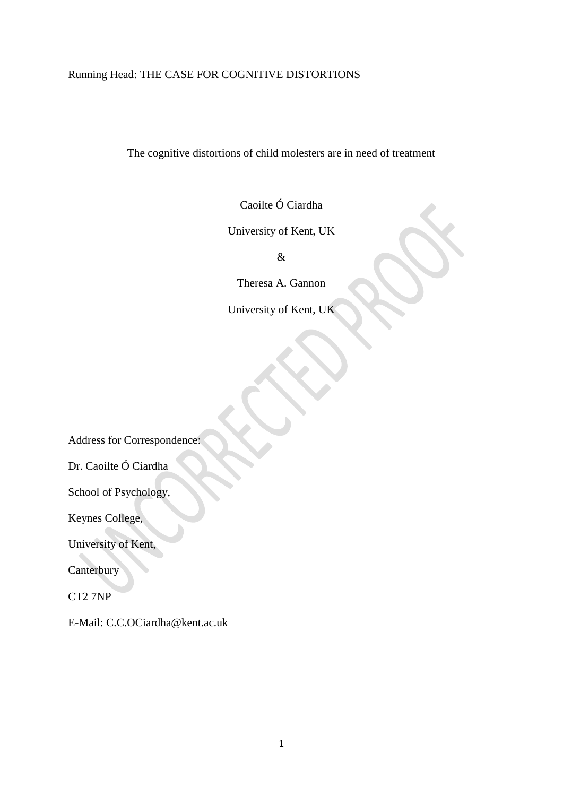# Running Head: THE CASE FOR COGNITIVE DISTORTIONS

The cognitive distortions of child molesters are in need of treatment

Caoilte Ó Ciardha

University of Kent, UK

&

Theresa A. Gannon

University of Kent, UK

Address for Correspondence:

Dr. Caoilte Ó Ciardha

School of Psychology,

Keynes College,

University of Kent,

**Canterbury** 

CT2 7NP

E-Mail: C.C.OCiardha@kent.ac.uk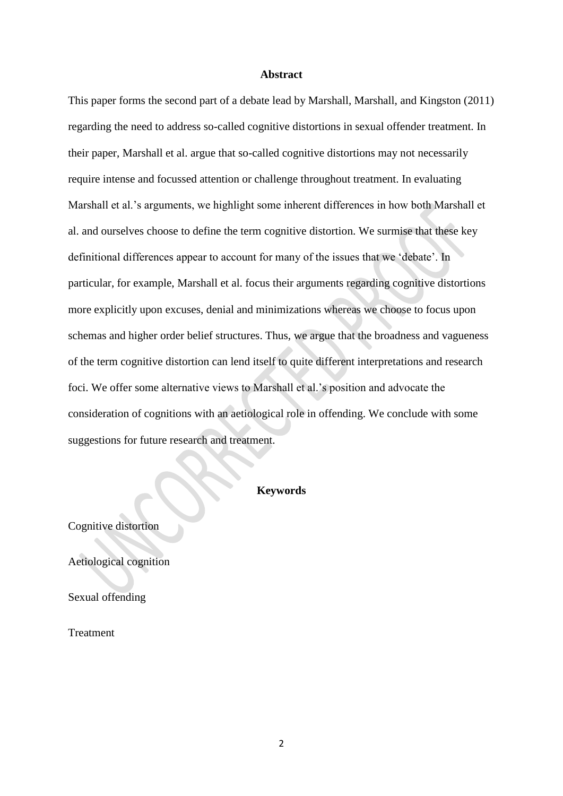#### **Abstract**

This paper forms the second part of a debate lead by Marshall, Marshall, and Kingston (2011) regarding the need to address so-called cognitive distortions in sexual offender treatment. In their paper, Marshall et al. argue that so-called cognitive distortions may not necessarily require intense and focussed attention or challenge throughout treatment. In evaluating Marshall et al."s arguments, we highlight some inherent differences in how both Marshall et al. and ourselves choose to define the term cognitive distortion. We surmise that these key definitional differences appear to account for many of the issues that we "debate". In particular, for example, Marshall et al. focus their arguments regarding cognitive distortions more explicitly upon excuses, denial and minimizations whereas we choose to focus upon schemas and higher order belief structures. Thus, we argue that the broadness and vagueness of the term cognitive distortion can lend itself to quite different interpretations and research foci. We offer some alternative views to Marshall et al."s position and advocate the consideration of cognitions with an aetiological role in offending. We conclude with some suggestions for future research and treatment.

## **Keywords**

Cognitive distortion

Aetiological cognition

Sexual offending

Treatment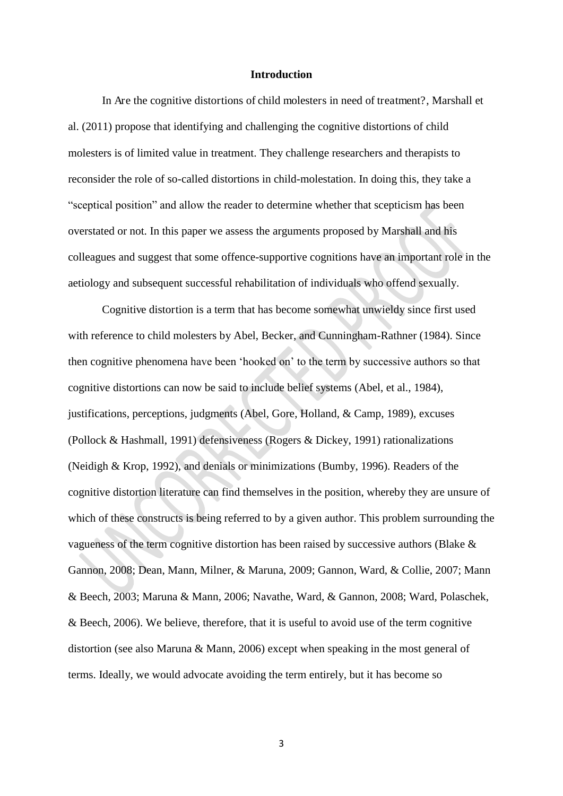#### **Introduction**

In Are the cognitive distortions of child molesters in need of treatment?, Marshall et al. (2011) propose that identifying and challenging the cognitive distortions of child molesters is of limited value in treatment. They challenge researchers and therapists to reconsider the role of so-called distortions in child-molestation. In doing this, they take a "sceptical position" and allow the reader to determine whether that scepticism has been overstated or not. In this paper we assess the arguments proposed by Marshall and his colleagues and suggest that some offence-supportive cognitions have an important role in the aetiology and subsequent successful rehabilitation of individuals who offend sexually.

Cognitive distortion is a term that has become somewhat unwieldy since first used with reference to child molesters by Abel, Becker, and Cunningham-Rathner (1984). Since then cognitive phenomena have been "hooked on" to the term by successive authors so that cognitive distortions can now be said to include belief systems (Abel, et al., 1984), justifications, perceptions, judgments (Abel, Gore, Holland, & Camp, 1989), excuses (Pollock & Hashmall, 1991) defensiveness (Rogers & Dickey, 1991) rationalizations (Neidigh & Krop, 1992), and denials or minimizations (Bumby, 1996). Readers of the cognitive distortion literature can find themselves in the position, whereby they are unsure of which of these constructs is being referred to by a given author. This problem surrounding the vagueness of the term cognitive distortion has been raised by successive authors (Blake & Gannon, 2008; Dean, Mann, Milner, & Maruna, 2009; Gannon, Ward, & Collie, 2007; Mann & Beech, 2003; Maruna & Mann, 2006; Navathe, Ward, & Gannon, 2008; Ward, Polaschek, & Beech, 2006). We believe, therefore, that it is useful to avoid use of the term cognitive distortion (see also Maruna & Mann, 2006) except when speaking in the most general of terms. Ideally, we would advocate avoiding the term entirely, but it has become so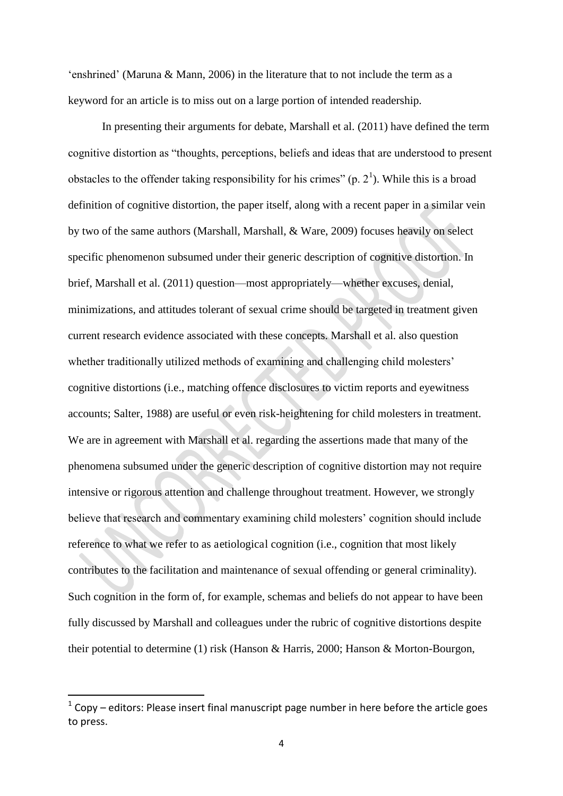'enshrined' (Maruna  $\&$  Mann, 2006) in the literature that to not include the term as a keyword for an article is to miss out on a large portion of intended readership.

 In presenting their arguments for debate, Marshall et al. (2011) have defined the term cognitive distortion as "thoughts, perceptions, beliefs and ideas that are understood to present obstacles to the offender taking responsibility for his crimes"  $(p, 2<sup>1</sup>)$ . While this is a broad definition of cognitive distortion, the paper itself, along with a recent paper in a similar vein by two of the same authors (Marshall, Marshall, & Ware, 2009) focuses heavily on select specific phenomenon subsumed under their generic description of cognitive distortion. In brief, Marshall et al. (2011) question—most appropriately—whether excuses, denial, minimizations, and attitudes tolerant of sexual crime should be targeted in treatment given current research evidence associated with these concepts. Marshall et al. also question whether traditionally utilized methods of examining and challenging child molesters' cognitive distortions (i.e., matching offence disclosures to victim reports and eyewitness accounts; Salter, 1988) are useful or even risk-heightening for child molesters in treatment. We are in agreement with Marshall et al. regarding the assertions made that many of the phenomena subsumed under the generic description of cognitive distortion may not require intensive or rigorous attention and challenge throughout treatment. However, we strongly believe that research and commentary examining child molesters' cognition should include reference to what we refer to as aetiological cognition (i.e., cognition that most likely contributes to the facilitation and maintenance of sexual offending or general criminality). Such cognition in the form of, for example, schemas and beliefs do not appear to have been fully discussed by Marshall and colleagues under the rubric of cognitive distortions despite their potential to determine (1) risk (Hanson & Harris, 2000; Hanson & Morton-Bourgon,

<u>.</u>

 $1$  Copy – editors: Please insert final manuscript page number in here before the article goes to press.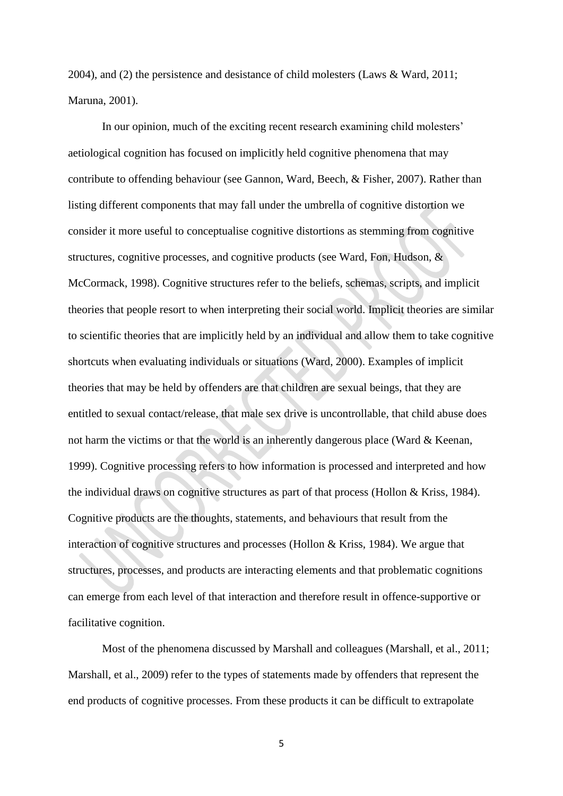2004), and (2) the persistence and desistance of child molesters (Laws & Ward, 2011; Maruna, 2001).

In our opinion, much of the exciting recent research examining child molesters" aetiological cognition has focused on implicitly held cognitive phenomena that may contribute to offending behaviour (see Gannon, Ward, Beech, & Fisher, 2007). Rather than listing different components that may fall under the umbrella of cognitive distortion we consider it more useful to conceptualise cognitive distortions as stemming from cognitive structures, cognitive processes, and cognitive products (see Ward, Fon, Hudson, & McCormack, 1998). Cognitive structures refer to the beliefs, schemas, scripts, and implicit theories that people resort to when interpreting their social world. Implicit theories are similar to scientific theories that are implicitly held by an individual and allow them to take cognitive shortcuts when evaluating individuals or situations (Ward, 2000). Examples of implicit theories that may be held by offenders are that children are sexual beings, that they are entitled to sexual contact/release, that male sex drive is uncontrollable, that child abuse does not harm the victims or that the world is an inherently dangerous place (Ward & Keenan, 1999). Cognitive processing refers to how information is processed and interpreted and how the individual draws on cognitive structures as part of that process (Hollon & Kriss, 1984). Cognitive products are the thoughts, statements, and behaviours that result from the interaction of cognitive structures and processes (Hollon & Kriss, 1984). We argue that structures, processes, and products are interacting elements and that problematic cognitions can emerge from each level of that interaction and therefore result in offence-supportive or facilitative cognition.

Most of the phenomena discussed by Marshall and colleagues (Marshall, et al., 2011; Marshall, et al., 2009) refer to the types of statements made by offenders that represent the end products of cognitive processes. From these products it can be difficult to extrapolate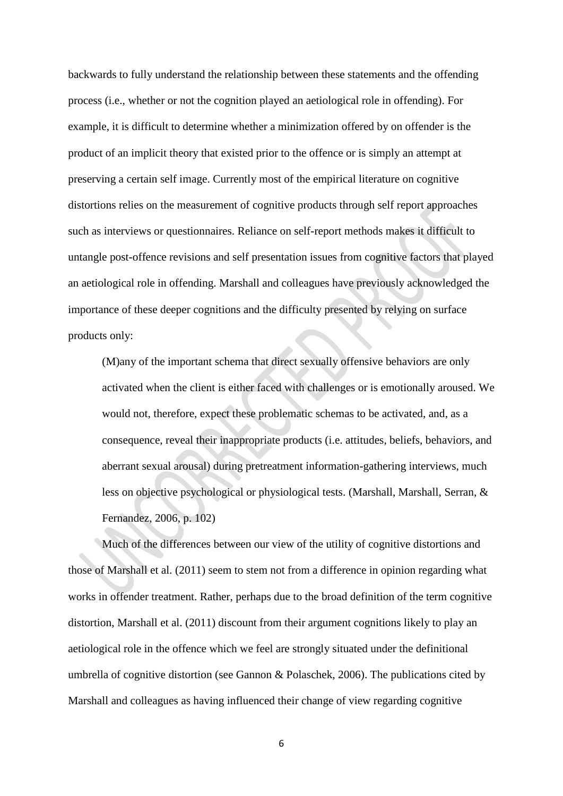backwards to fully understand the relationship between these statements and the offending process (i.e., whether or not the cognition played an aetiological role in offending). For example, it is difficult to determine whether a minimization offered by on offender is the product of an implicit theory that existed prior to the offence or is simply an attempt at preserving a certain self image. Currently most of the empirical literature on cognitive distortions relies on the measurement of cognitive products through self report approaches such as interviews or questionnaires. Reliance on self-report methods makes it difficult to untangle post-offence revisions and self presentation issues from cognitive factors that played an aetiological role in offending. Marshall and colleagues have previously acknowledged the importance of these deeper cognitions and the difficulty presented by relying on surface products only:

(M)any of the important schema that direct sexually offensive behaviors are only activated when the client is either faced with challenges or is emotionally aroused. We would not, therefore, expect these problematic schemas to be activated, and, as a consequence, reveal their inappropriate products (i.e. attitudes, beliefs, behaviors, and aberrant sexual arousal) during pretreatment information-gathering interviews, much less on objective psychological or physiological tests. (Marshall, Marshall, Serran, & Fernandez, 2006, p. 102)

Much of the differences between our view of the utility of cognitive distortions and those of Marshall et al. (2011) seem to stem not from a difference in opinion regarding what works in offender treatment. Rather, perhaps due to the broad definition of the term cognitive distortion, Marshall et al. (2011) discount from their argument cognitions likely to play an aetiological role in the offence which we feel are strongly situated under the definitional umbrella of cognitive distortion (see Gannon & Polaschek, 2006). The publications cited by Marshall and colleagues as having influenced their change of view regarding cognitive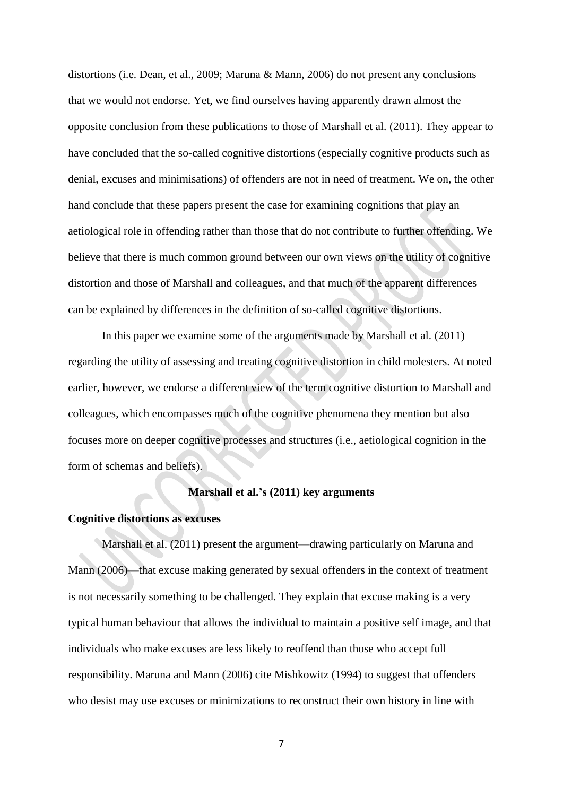distortions (i.e. Dean, et al., 2009; Maruna & Mann, 2006) do not present any conclusions that we would not endorse. Yet, we find ourselves having apparently drawn almost the opposite conclusion from these publications to those of Marshall et al. (2011). They appear to have concluded that the so-called cognitive distortions (especially cognitive products such as denial, excuses and minimisations) of offenders are not in need of treatment. We on, the other hand conclude that these papers present the case for examining cognitions that play an aetiological role in offending rather than those that do not contribute to further offending. We believe that there is much common ground between our own views on the utility of cognitive distortion and those of Marshall and colleagues, and that much of the apparent differences can be explained by differences in the definition of so-called cognitive distortions.

In this paper we examine some of the arguments made by Marshall et al. (2011) regarding the utility of assessing and treating cognitive distortion in child molesters. At noted earlier, however, we endorse a different view of the term cognitive distortion to Marshall and colleagues, which encompasses much of the cognitive phenomena they mention but also focuses more on deeper cognitive processes and structures (i.e., aetiological cognition in the form of schemas and beliefs).

#### **Marshall et al.'s (2011) key arguments**

## **Cognitive distortions as excuses**

Marshall et al. (2011) present the argument—drawing particularly on Maruna and Mann (2006)—that excuse making generated by sexual offenders in the context of treatment is not necessarily something to be challenged. They explain that excuse making is a very typical human behaviour that allows the individual to maintain a positive self image, and that individuals who make excuses are less likely to reoffend than those who accept full responsibility. Maruna and Mann (2006) cite Mishkowitz (1994) to suggest that offenders who desist may use excuses or minimizations to reconstruct their own history in line with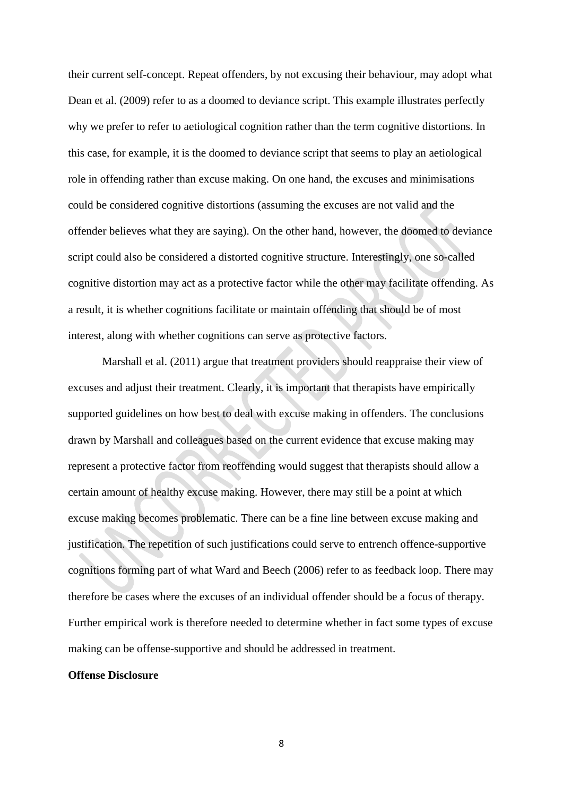their current self-concept. Repeat offenders, by not excusing their behaviour, may adopt what Dean et al. (2009) refer to as a doomed to deviance script. This example illustrates perfectly why we prefer to refer to aetiological cognition rather than the term cognitive distortions. In this case, for example, it is the doomed to deviance script that seems to play an aetiological role in offending rather than excuse making. On one hand, the excuses and minimisations could be considered cognitive distortions (assuming the excuses are not valid and the offender believes what they are saying). On the other hand, however, the doomed to deviance script could also be considered a distorted cognitive structure. Interestingly, one so-called cognitive distortion may act as a protective factor while the other may facilitate offending. As a result, it is whether cognitions facilitate or maintain offending that should be of most interest, along with whether cognitions can serve as protective factors.

Marshall et al. (2011) argue that treatment providers should reappraise their view of excuses and adjust their treatment. Clearly, it is important that therapists have empirically supported guidelines on how best to deal with excuse making in offenders. The conclusions drawn by Marshall and colleagues based on the current evidence that excuse making may represent a protective factor from reoffending would suggest that therapists should allow a certain amount of healthy excuse making. However, there may still be a point at which excuse making becomes problematic. There can be a fine line between excuse making and justification. The repetition of such justifications could serve to entrench offence-supportive cognitions forming part of what Ward and Beech (2006) refer to as feedback loop. There may therefore be cases where the excuses of an individual offender should be a focus of therapy. Further empirical work is therefore needed to determine whether in fact some types of excuse making can be offense-supportive and should be addressed in treatment.

#### **Offense Disclosure**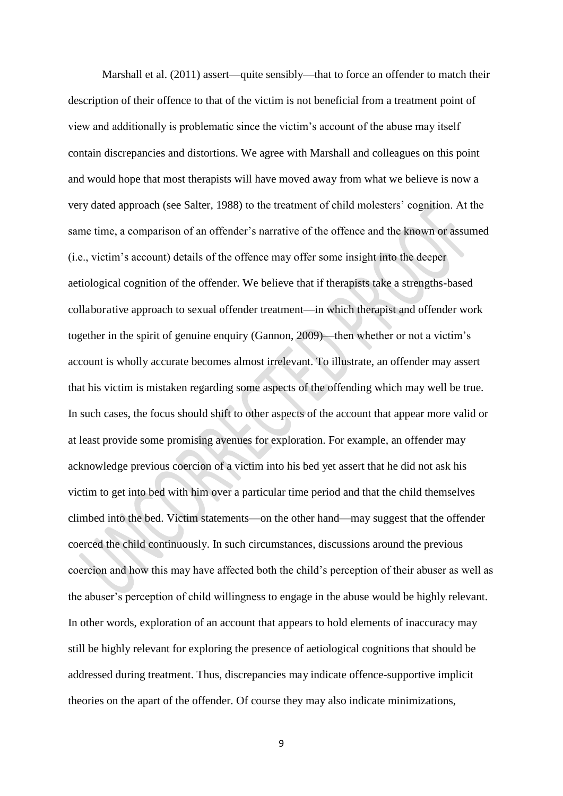Marshall et al. (2011) assert—quite sensibly—that to force an offender to match their description of their offence to that of the victim is not beneficial from a treatment point of view and additionally is problematic since the victim"s account of the abuse may itself contain discrepancies and distortions. We agree with Marshall and colleagues on this point and would hope that most therapists will have moved away from what we believe is now a very dated approach (see Salter, 1988) to the treatment of child molesters" cognition. At the same time, a comparison of an offender's narrative of the offence and the known or assumed (i.e., victim"s account) details of the offence may offer some insight into the deeper aetiological cognition of the offender. We believe that if therapists take a strengths-based collaborative approach to sexual offender treatment—in which therapist and offender work together in the spirit of genuine enquiry (Gannon, 2009)—then whether or not a victim"s account is wholly accurate becomes almost irrelevant. To illustrate, an offender may assert that his victim is mistaken regarding some aspects of the offending which may well be true. In such cases, the focus should shift to other aspects of the account that appear more valid or at least provide some promising avenues for exploration. For example, an offender may acknowledge previous coercion of a victim into his bed yet assert that he did not ask his victim to get into bed with him over a particular time period and that the child themselves climbed into the bed. Victim statements—on the other hand—may suggest that the offender coerced the child continuously. In such circumstances, discussions around the previous coercion and how this may have affected both the child"s perception of their abuser as well as the abuser"s perception of child willingness to engage in the abuse would be highly relevant. In other words, exploration of an account that appears to hold elements of inaccuracy may still be highly relevant for exploring the presence of aetiological cognitions that should be addressed during treatment. Thus, discrepancies may indicate offence-supportive implicit theories on the apart of the offender. Of course they may also indicate minimizations,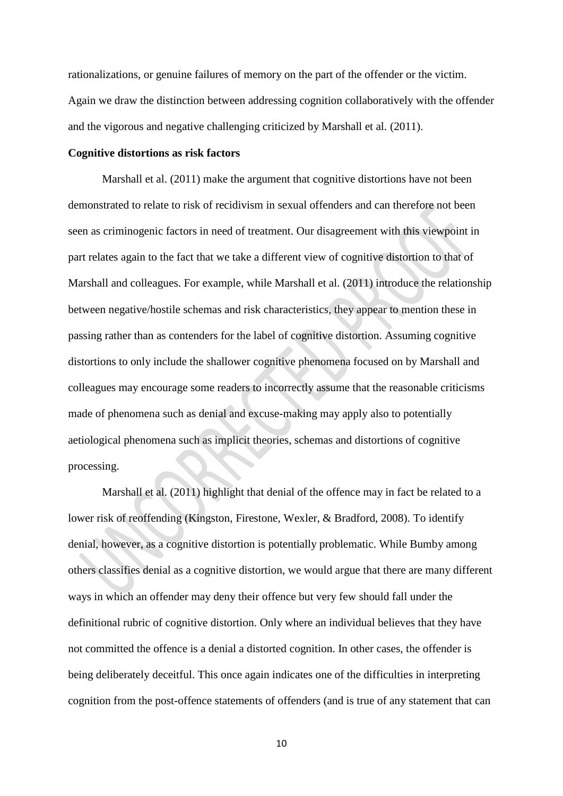rationalizations, or genuine failures of memory on the part of the offender or the victim. Again we draw the distinction between addressing cognition collaboratively with the offender and the vigorous and negative challenging criticized by Marshall et al. (2011).

#### **Cognitive distortions as risk factors**

Marshall et al. (2011) make the argument that cognitive distortions have not been demonstrated to relate to risk of recidivism in sexual offenders and can therefore not been seen as criminogenic factors in need of treatment. Our disagreement with this viewpoint in part relates again to the fact that we take a different view of cognitive distortion to that of Marshall and colleagues. For example, while Marshall et al. (2011) introduce the relationship between negative/hostile schemas and risk characteristics, they appear to mention these in passing rather than as contenders for the label of cognitive distortion. Assuming cognitive distortions to only include the shallower cognitive phenomena focused on by Marshall and colleagues may encourage some readers to incorrectly assume that the reasonable criticisms made of phenomena such as denial and excuse-making may apply also to potentially aetiological phenomena such as implicit theories, schemas and distortions of cognitive processing.

Marshall et al. (2011) highlight that denial of the offence may in fact be related to a lower risk of reoffending (Kingston, Firestone, Wexler, & Bradford, 2008). To identify denial, however, as a cognitive distortion is potentially problematic. While Bumby among others classifies denial as a cognitive distortion, we would argue that there are many different ways in which an offender may deny their offence but very few should fall under the definitional rubric of cognitive distortion. Only where an individual believes that they have not committed the offence is a denial a distorted cognition. In other cases, the offender is being deliberately deceitful. This once again indicates one of the difficulties in interpreting cognition from the post-offence statements of offenders (and is true of any statement that can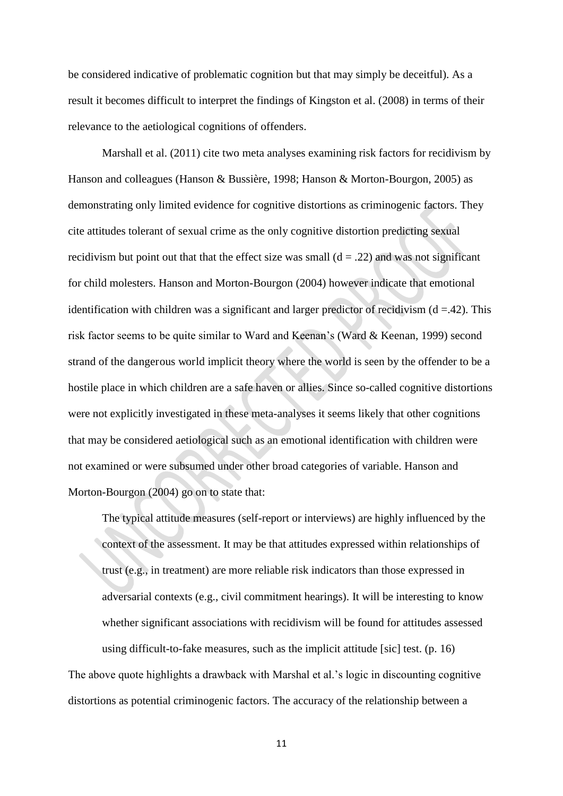be considered indicative of problematic cognition but that may simply be deceitful). As a result it becomes difficult to interpret the findings of Kingston et al. (2008) in terms of their relevance to the aetiological cognitions of offenders.

 Marshall et al. (2011) cite two meta analyses examining risk factors for recidivism by Hanson and colleagues (Hanson & Bussière, 1998; Hanson & Morton-Bourgon, 2005) as demonstrating only limited evidence for cognitive distortions as criminogenic factors. They cite attitudes tolerant of sexual crime as the only cognitive distortion predicting sexual recidivism but point out that that the effect size was small  $(d = .22)$  and was not significant for child molesters. Hanson and Morton-Bourgon (2004) however indicate that emotional identification with children was a significant and larger predictor of recidivism  $(d = .42)$ . This risk factor seems to be quite similar to Ward and Keenan"s (Ward & Keenan, 1999) second strand of the dangerous world implicit theory where the world is seen by the offender to be a hostile place in which children are a safe haven or allies. Since so-called cognitive distortions were not explicitly investigated in these meta-analyses it seems likely that other cognitions that may be considered aetiological such as an emotional identification with children were not examined or were subsumed under other broad categories of variable. Hanson and Morton-Bourgon (2004) go on to state that:

The typical attitude measures (self-report or interviews) are highly influenced by the context of the assessment. It may be that attitudes expressed within relationships of trust (e.g., in treatment) are more reliable risk indicators than those expressed in adversarial contexts (e.g., civil commitment hearings). It will be interesting to know whether significant associations with recidivism will be found for attitudes assessed using difficult-to-fake measures, such as the implicit attitude [sic] test. (p. 16) The above quote highlights a drawback with Marshal et al."s logic in discounting cognitive distortions as potential criminogenic factors. The accuracy of the relationship between a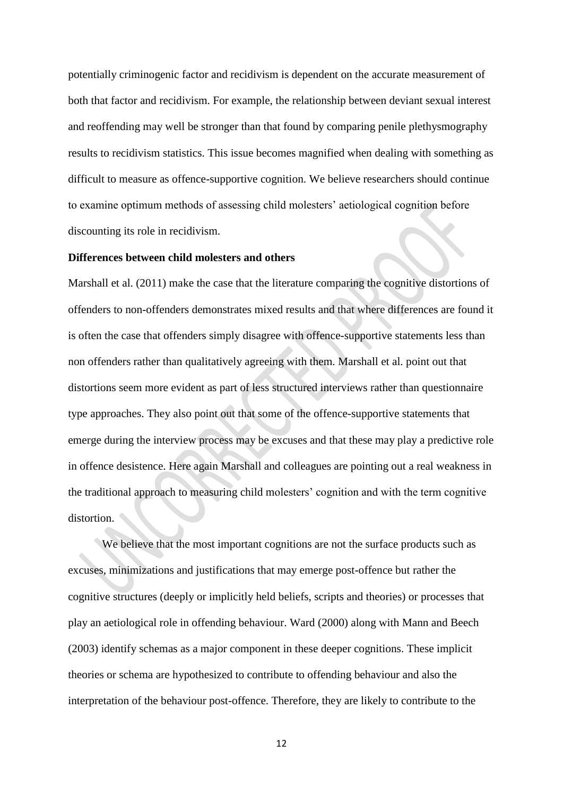potentially criminogenic factor and recidivism is dependent on the accurate measurement of both that factor and recidivism. For example, the relationship between deviant sexual interest and reoffending may well be stronger than that found by comparing penile plethysmography results to recidivism statistics. This issue becomes magnified when dealing with something as difficult to measure as offence-supportive cognition. We believe researchers should continue to examine optimum methods of assessing child molesters' aetiological cognition before discounting its role in recidivism.

#### **Differences between child molesters and others**

Marshall et al. (2011) make the case that the literature comparing the cognitive distortions of offenders to non-offenders demonstrates mixed results and that where differences are found it is often the case that offenders simply disagree with offence-supportive statements less than non offenders rather than qualitatively agreeing with them. Marshall et al. point out that distortions seem more evident as part of less structured interviews rather than questionnaire type approaches. They also point out that some of the offence-supportive statements that emerge during the interview process may be excuses and that these may play a predictive role in offence desistence. Here again Marshall and colleagues are pointing out a real weakness in the traditional approach to measuring child molesters" cognition and with the term cognitive distortion.

We believe that the most important cognitions are not the surface products such as excuses, minimizations and justifications that may emerge post-offence but rather the cognitive structures (deeply or implicitly held beliefs, scripts and theories) or processes that play an aetiological role in offending behaviour. Ward (2000) along with Mann and Beech (2003) identify schemas as a major component in these deeper cognitions. These implicit theories or schema are hypothesized to contribute to offending behaviour and also the interpretation of the behaviour post-offence. Therefore, they are likely to contribute to the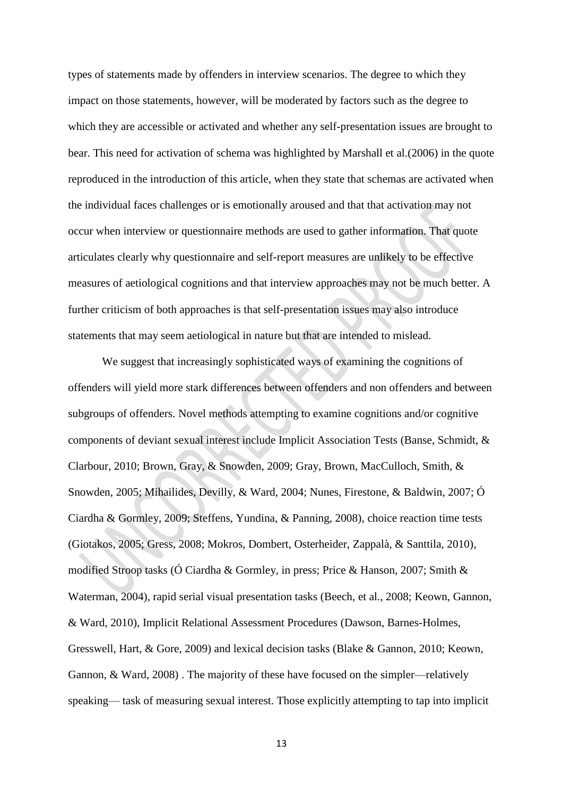types of statements made by offenders in interview scenarios. The degree to which they impact on those statements, however, will be moderated by factors such as the degree to which they are accessible or activated and whether any self-presentation issues are brought to bear. This need for activation of schema was highlighted by Marshall et al.(2006) in the quote reproduced in the introduction of this article, when they state that schemas are activated when the individual faces challenges or is emotionally aroused and that that activation may not occur when interview or questionnaire methods are used to gather information. That quote articulates clearly why questionnaire and self-report measures are unlikely to be effective measures of aetiological cognitions and that interview approaches may not be much better. A further criticism of both approaches is that self-presentation issues may also introduce statements that may seem aetiological in nature but that are intended to mislead.

 We suggest that increasingly sophisticated ways of examining the cognitions of offenders will yield more stark differences between offenders and non offenders and between subgroups of offenders. Novel methods attempting to examine cognitions and/or cognitive components of deviant sexual interest include Implicit Association Tests (Banse, Schmidt, & Clarbour, 2010; Brown, Gray, & Snowden, 2009; Gray, Brown, MacCulloch, Smith, & Snowden, 2005; Mihailides, Devilly, & Ward, 2004; Nunes, Firestone, & Baldwin, 2007; Ó Ciardha & Gormley, 2009; Steffens, Yundina, & Panning, 2008), choice reaction time tests (Giotakos, 2005; Gress, 2008; Mokros, Dombert, Osterheider, Zappalà, & Santtila, 2010), modified Stroop tasks (Ó Ciardha & Gormley, in press; Price & Hanson, 2007; Smith & Waterman, 2004), rapid serial visual presentation tasks (Beech, et al., 2008; Keown, Gannon, & Ward, 2010), Implicit Relational Assessment Procedures (Dawson, Barnes-Holmes, Gresswell, Hart, & Gore, 2009) and lexical decision tasks (Blake & Gannon, 2010; Keown, Gannon, & Ward, 2008) . The majority of these have focused on the simpler—relatively speaking— task of measuring sexual interest. Those explicitly attempting to tap into implicit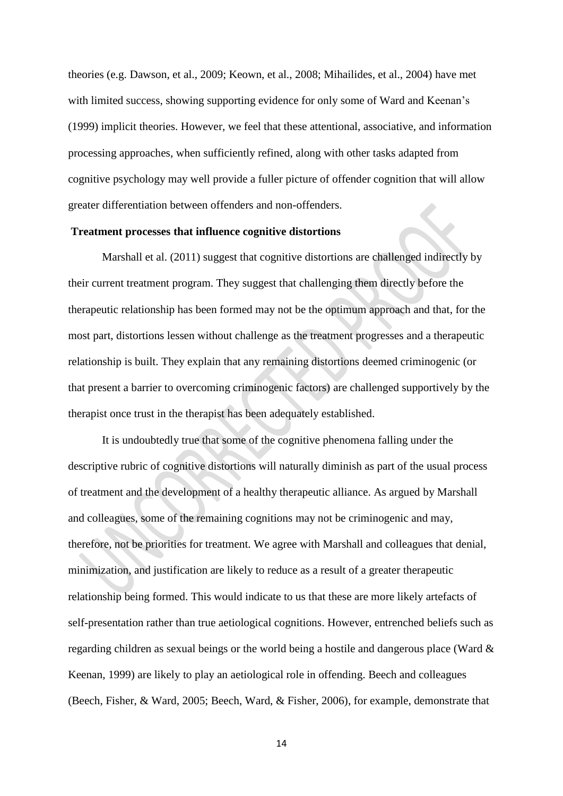theories (e.g. Dawson, et al., 2009; Keown, et al., 2008; Mihailides, et al., 2004) have met with limited success, showing supporting evidence for only some of Ward and Keenan"s (1999) implicit theories. However, we feel that these attentional, associative, and information processing approaches, when sufficiently refined, along with other tasks adapted from cognitive psychology may well provide a fuller picture of offender cognition that will allow greater differentiation between offenders and non-offenders.

#### **Treatment processes that influence cognitive distortions**

Marshall et al. (2011) suggest that cognitive distortions are challenged indirectly by their current treatment program. They suggest that challenging them directly before the therapeutic relationship has been formed may not be the optimum approach and that, for the most part, distortions lessen without challenge as the treatment progresses and a therapeutic relationship is built. They explain that any remaining distortions deemed criminogenic (or that present a barrier to overcoming criminogenic factors) are challenged supportively by the therapist once trust in the therapist has been adequately established.

It is undoubtedly true that some of the cognitive phenomena falling under the descriptive rubric of cognitive distortions will naturally diminish as part of the usual process of treatment and the development of a healthy therapeutic alliance. As argued by Marshall and colleagues, some of the remaining cognitions may not be criminogenic and may, therefore, not be priorities for treatment. We agree with Marshall and colleagues that denial, minimization, and justification are likely to reduce as a result of a greater therapeutic relationship being formed. This would indicate to us that these are more likely artefacts of self-presentation rather than true aetiological cognitions. However, entrenched beliefs such as regarding children as sexual beings or the world being a hostile and dangerous place (Ward & Keenan, 1999) are likely to play an aetiological role in offending. Beech and colleagues (Beech, Fisher, & Ward, 2005; Beech, Ward, & Fisher, 2006), for example, demonstrate that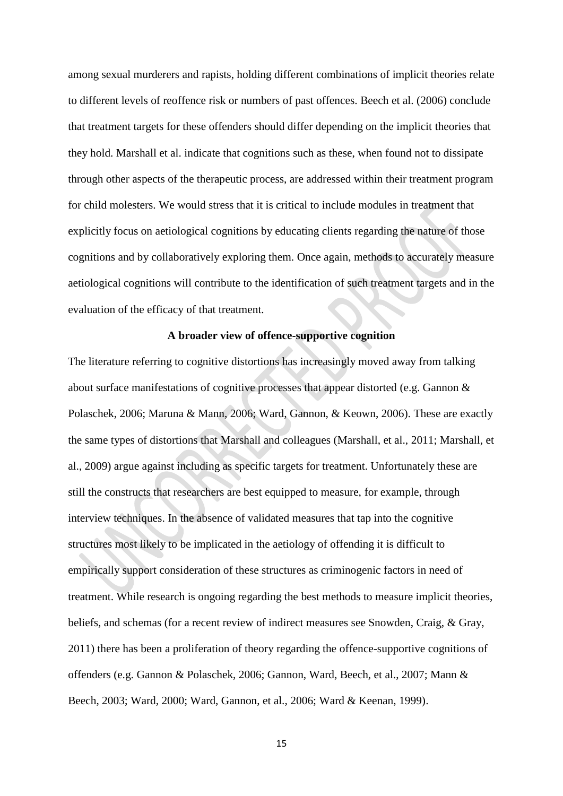among sexual murderers and rapists, holding different combinations of implicit theories relate to different levels of reoffence risk or numbers of past offences. Beech et al. (2006) conclude that treatment targets for these offenders should differ depending on the implicit theories that they hold. Marshall et al. indicate that cognitions such as these, when found not to dissipate through other aspects of the therapeutic process, are addressed within their treatment program for child molesters. We would stress that it is critical to include modules in treatment that explicitly focus on aetiological cognitions by educating clients regarding the nature of those cognitions and by collaboratively exploring them. Once again, methods to accurately measure aetiological cognitions will contribute to the identification of such treatment targets and in the evaluation of the efficacy of that treatment.

## **A broader view of offence-supportive cognition**

The literature referring to cognitive distortions has increasingly moved away from talking about surface manifestations of cognitive processes that appear distorted (e.g. Gannon & Polaschek, 2006; Maruna & Mann, 2006; Ward, Gannon, & Keown, 2006). These are exactly the same types of distortions that Marshall and colleagues (Marshall, et al., 2011; Marshall, et al., 2009) argue against including as specific targets for treatment. Unfortunately these are still the constructs that researchers are best equipped to measure, for example, through interview techniques. In the absence of validated measures that tap into the cognitive structures most likely to be implicated in the aetiology of offending it is difficult to empirically support consideration of these structures as criminogenic factors in need of treatment. While research is ongoing regarding the best methods to measure implicit theories, beliefs, and schemas (for a recent review of indirect measures see Snowden, Craig, & Gray, 2011) there has been a proliferation of theory regarding the offence-supportive cognitions of offenders (e.g. Gannon & Polaschek, 2006; Gannon, Ward, Beech, et al., 2007; Mann & Beech, 2003; Ward, 2000; Ward, Gannon, et al., 2006; Ward & Keenan, 1999).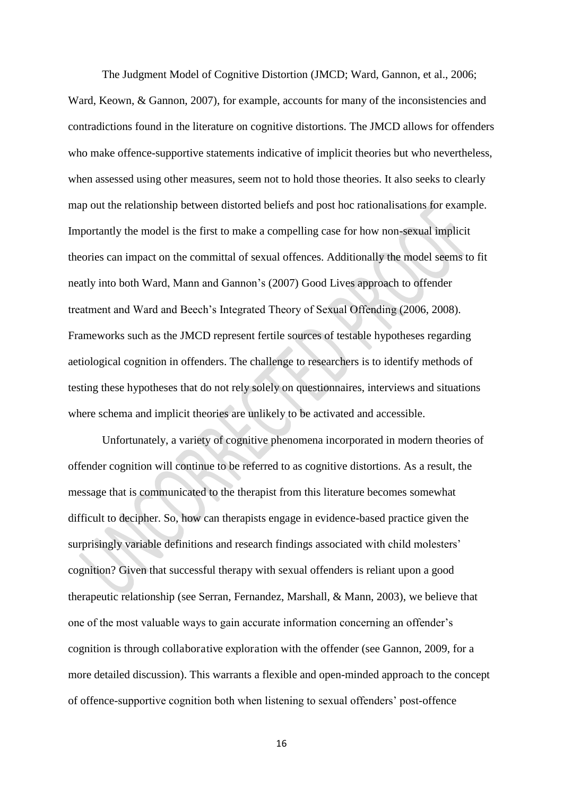The Judgment Model of Cognitive Distortion (JMCD; Ward, Gannon, et al., 2006; Ward, Keown, & Gannon, 2007), for example, accounts for many of the inconsistencies and contradictions found in the literature on cognitive distortions. The JMCD allows for offenders who make offence-supportive statements indicative of implicit theories but who nevertheless, when assessed using other measures, seem not to hold those theories. It also seeks to clearly map out the relationship between distorted beliefs and post hoc rationalisations for example. Importantly the model is the first to make a compelling case for how non-sexual implicit theories can impact on the committal of sexual offences. Additionally the model seems to fit neatly into both Ward, Mann and Gannon"s (2007) Good Lives approach to offender treatment and Ward and Beech"s Integrated Theory of Sexual Offending (2006, 2008). Frameworks such as the JMCD represent fertile sources of testable hypotheses regarding aetiological cognition in offenders. The challenge to researchers is to identify methods of testing these hypotheses that do not rely solely on questionnaires, interviews and situations where schema and implicit theories are unlikely to be activated and accessible.

Unfortunately, a variety of cognitive phenomena incorporated in modern theories of offender cognition will continue to be referred to as cognitive distortions. As a result, the message that is communicated to the therapist from this literature becomes somewhat difficult to decipher. So, how can therapists engage in evidence-based practice given the surprisingly variable definitions and research findings associated with child molesters' cognition? Given that successful therapy with sexual offenders is reliant upon a good therapeutic relationship (see Serran, Fernandez, Marshall, & Mann, 2003), we believe that one of the most valuable ways to gain accurate information concerning an offender"s cognition is through collaborative exploration with the offender (see Gannon, 2009, for a more detailed discussion). This warrants a flexible and open-minded approach to the concept of offence-supportive cognition both when listening to sexual offenders" post-offence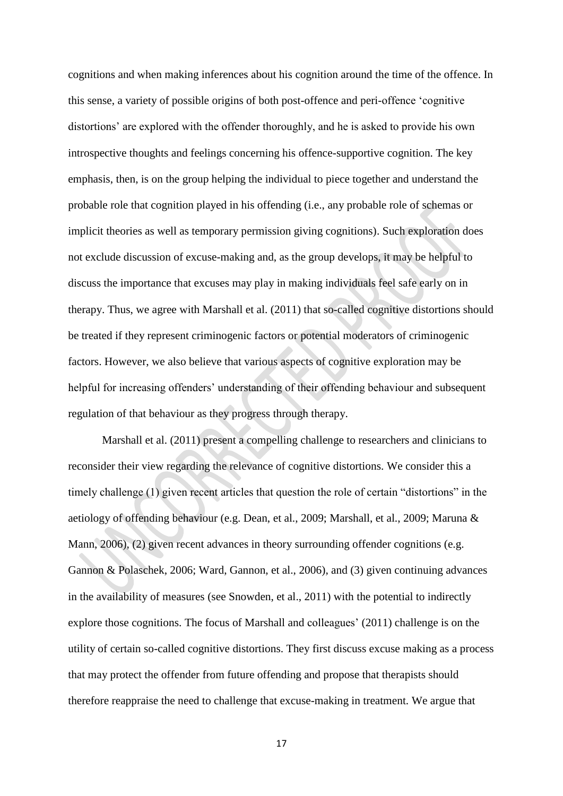cognitions and when making inferences about his cognition around the time of the offence. In this sense, a variety of possible origins of both post-offence and peri-offence "cognitive distortions' are explored with the offender thoroughly, and he is asked to provide his own introspective thoughts and feelings concerning his offence-supportive cognition. The key emphasis, then, is on the group helping the individual to piece together and understand the probable role that cognition played in his offending (i.e., any probable role of schemas or implicit theories as well as temporary permission giving cognitions). Such exploration does not exclude discussion of excuse-making and, as the group develops, it may be helpful to discuss the importance that excuses may play in making individuals feel safe early on in therapy. Thus, we agree with Marshall et al. (2011) that so-called cognitive distortions should be treated if they represent criminogenic factors or potential moderators of criminogenic factors. However, we also believe that various aspects of cognitive exploration may be helpful for increasing offenders' understanding of their offending behaviour and subsequent regulation of that behaviour as they progress through therapy.

Marshall et al. (2011) present a compelling challenge to researchers and clinicians to reconsider their view regarding the relevance of cognitive distortions. We consider this a timely challenge (1) given recent articles that question the role of certain "distortions" in the aetiology of offending behaviour (e.g. Dean, et al., 2009; Marshall, et al., 2009; Maruna & Mann, 2006), (2) given recent advances in theory surrounding offender cognitions (e.g. Gannon & Polaschek, 2006; Ward, Gannon, et al., 2006), and (3) given continuing advances in the availability of measures (see Snowden, et al., 2011) with the potential to indirectly explore those cognitions. The focus of Marshall and colleagues' (2011) challenge is on the utility of certain so-called cognitive distortions. They first discuss excuse making as a process that may protect the offender from future offending and propose that therapists should therefore reappraise the need to challenge that excuse-making in treatment. We argue that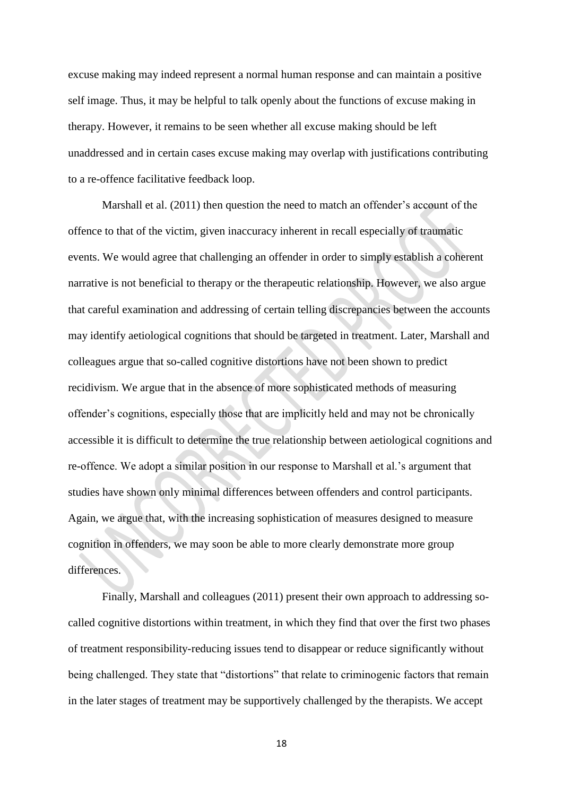excuse making may indeed represent a normal human response and can maintain a positive self image. Thus, it may be helpful to talk openly about the functions of excuse making in therapy. However, it remains to be seen whether all excuse making should be left unaddressed and in certain cases excuse making may overlap with justifications contributing to a re-offence facilitative feedback loop.

Marshall et al. (2011) then question the need to match an offender's account of the offence to that of the victim, given inaccuracy inherent in recall especially of traumatic events. We would agree that challenging an offender in order to simply establish a coherent narrative is not beneficial to therapy or the therapeutic relationship. However, we also argue that careful examination and addressing of certain telling discrepancies between the accounts may identify aetiological cognitions that should be targeted in treatment. Later, Marshall and colleagues argue that so-called cognitive distortions have not been shown to predict recidivism. We argue that in the absence of more sophisticated methods of measuring offender"s cognitions, especially those that are implicitly held and may not be chronically accessible it is difficult to determine the true relationship between aetiological cognitions and re-offence. We adopt a similar position in our response to Marshall et al."s argument that studies have shown only minimal differences between offenders and control participants. Again, we argue that, with the increasing sophistication of measures designed to measure cognition in offenders, we may soon be able to more clearly demonstrate more group differences.

Finally, Marshall and colleagues (2011) present their own approach to addressing socalled cognitive distortions within treatment, in which they find that over the first two phases of treatment responsibility-reducing issues tend to disappear or reduce significantly without being challenged. They state that "distortions" that relate to criminogenic factors that remain in the later stages of treatment may be supportively challenged by the therapists. We accept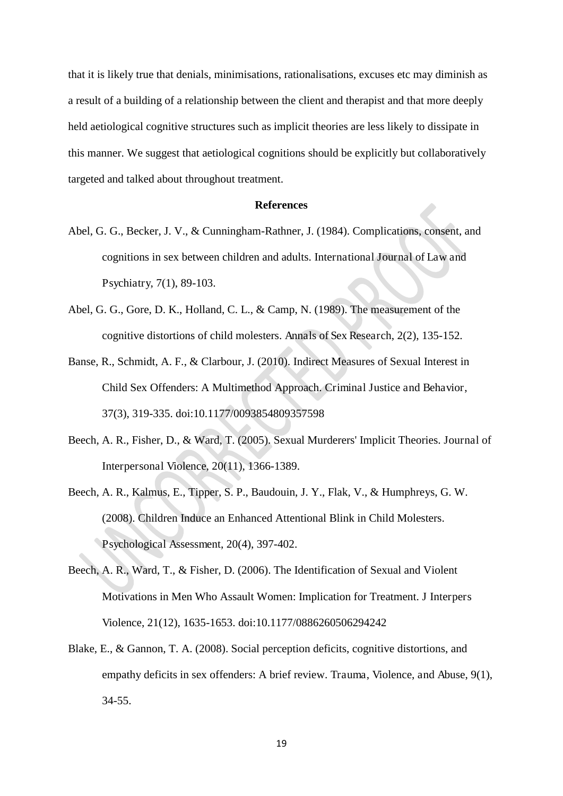that it is likely true that denials, minimisations, rationalisations, excuses etc may diminish as a result of a building of a relationship between the client and therapist and that more deeply held aetiological cognitive structures such as implicit theories are less likely to dissipate in this manner. We suggest that aetiological cognitions should be explicitly but collaboratively targeted and talked about throughout treatment.

## **References**

- Abel, G. G., Becker, J. V., & Cunningham-Rathner, J. (1984). Complications, consent, and cognitions in sex between children and adults. International Journal of Law and Psychiatry, 7(1), 89-103.
- Abel, G. G., Gore, D. K., Holland, C. L., & Camp, N. (1989). The measurement of the cognitive distortions of child molesters. Annals of Sex Research, 2(2), 135-152.
- Banse, R., Schmidt, A. F., & Clarbour, J. (2010). Indirect Measures of Sexual Interest in Child Sex Offenders: A Multimethod Approach. Criminal Justice and Behavior, 37(3), 319-335. doi:10.1177/0093854809357598
- Beech, A. R., Fisher, D., & Ward, T. (2005). Sexual Murderers' Implicit Theories. Journal of Interpersonal Violence, 20(11), 1366-1389.
- Beech, A. R., Kalmus, E., Tipper, S. P., Baudouin, J. Y., Flak, V., & Humphreys, G. W. (2008). Children Induce an Enhanced Attentional Blink in Child Molesters. Psychological Assessment, 20(4), 397-402.
- Beech, A. R., Ward, T., & Fisher, D. (2006). The Identification of Sexual and Violent Motivations in Men Who Assault Women: Implication for Treatment. J Interpers Violence, 21(12), 1635-1653. doi:10.1177/0886260506294242
- Blake, E., & Gannon, T. A. (2008). Social perception deficits, cognitive distortions, and empathy deficits in sex offenders: A brief review. Trauma, Violence, and Abuse, 9(1), 34-55.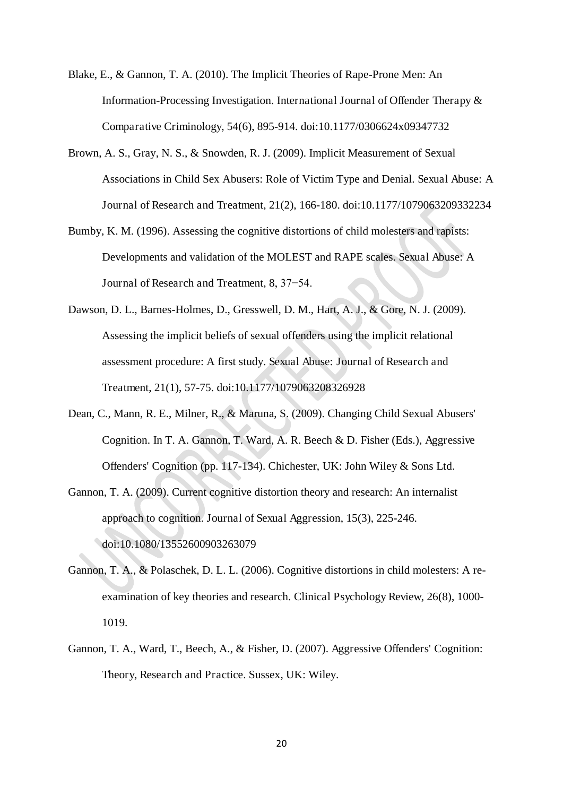- Blake, E., & Gannon, T. A. (2010). The Implicit Theories of Rape-Prone Men: An Information-Processing Investigation. International Journal of Offender Therapy & Comparative Criminology, 54(6), 895-914. doi:10.1177/0306624x09347732
- Brown, A. S., Gray, N. S., & Snowden, R. J. (2009). Implicit Measurement of Sexual Associations in Child Sex Abusers: Role of Victim Type and Denial. Sexual Abuse: A Journal of Research and Treatment, 21(2), 166-180. doi:10.1177/1079063209332234
- Bumby, K. M. (1996). Assessing the cognitive distortions of child molesters and rapists: Developments and validation of the MOLEST and RAPE scales. Sexual Abuse: A Journal of Research and Treatment, 8, 37−54.
- Dawson, D. L., Barnes-Holmes, D., Gresswell, D. M., Hart, A. J., & Gore, N. J. (2009). Assessing the implicit beliefs of sexual offenders using the implicit relational assessment procedure: A first study. Sexual Abuse: Journal of Research and Treatment, 21(1), 57-75. doi:10.1177/1079063208326928
- Dean, C., Mann, R. E., Milner, R., & Maruna, S. (2009). Changing Child Sexual Abusers' Cognition. In T. A. Gannon, T. Ward, A. R. Beech & D. Fisher (Eds.), Aggressive Offenders' Cognition (pp. 117-134). Chichester, UK: John Wiley & Sons Ltd.
- Gannon, T. A. (2009). Current cognitive distortion theory and research: An internalist approach to cognition. Journal of Sexual Aggression, 15(3), 225-246. doi:10.1080/13552600903263079
- Gannon, T. A., & Polaschek, D. L. L. (2006). Cognitive distortions in child molesters: A reexamination of key theories and research. Clinical Psychology Review, 26(8), 1000- 1019.
- Gannon, T. A., Ward, T., Beech, A., & Fisher, D. (2007). Aggressive Offenders' Cognition: Theory, Research and Practice. Sussex, UK: Wiley.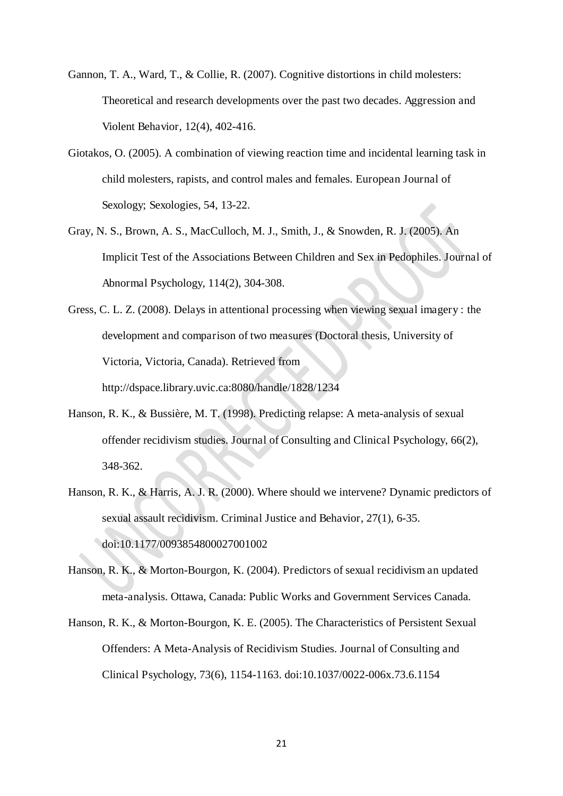- Gannon, T. A., Ward, T., & Collie, R. (2007). Cognitive distortions in child molesters: Theoretical and research developments over the past two decades. Aggression and Violent Behavior, 12(4), 402-416.
- Giotakos, O. (2005). A combination of viewing reaction time and incidental learning task in child molesters, rapists, and control males and females. European Journal of Sexology; Sexologies, 54, 13-22.
- Gray, N. S., Brown, A. S., MacCulloch, M. J., Smith, J., & Snowden, R. J. (2005). An Implicit Test of the Associations Between Children and Sex in Pedophiles. Journal of Abnormal Psychology, 114(2), 304-308.
- Gress, C. L. Z. (2008). Delays in attentional processing when viewing sexual imagery : the development and comparison of two measures (Doctoral thesis, University of Victoria, Victoria, Canada). Retrieved from http://dspace.library.uvic.ca:8080/handle/1828/1234
- Hanson, R. K., & Bussière, M. T. (1998). Predicting relapse: A meta-analysis of sexual offender recidivism studies. Journal of Consulting and Clinical Psychology, 66(2), 348-362.
- Hanson, R. K., & Harris, A. J. R. (2000). Where should we intervene? Dynamic predictors of sexual assault recidivism. Criminal Justice and Behavior, 27(1), 6-35. doi:10.1177/0093854800027001002
- Hanson, R. K., & Morton-Bourgon, K. (2004). Predictors of sexual recidivism an updated meta-analysis. Ottawa, Canada: Public Works and Government Services Canada.
- Hanson, R. K., & Morton-Bourgon, K. E. (2005). The Characteristics of Persistent Sexual Offenders: A Meta-Analysis of Recidivism Studies. Journal of Consulting and Clinical Psychology, 73(6), 1154-1163. doi:10.1037/0022-006x.73.6.1154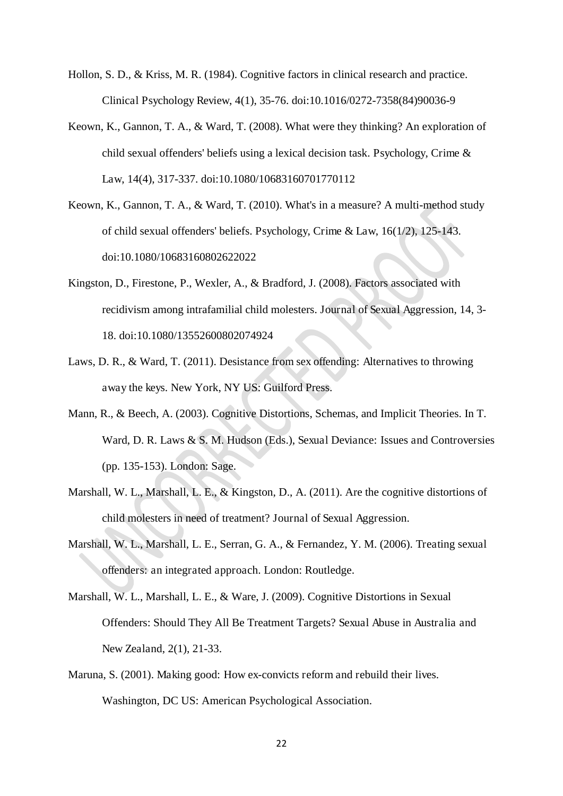- Hollon, S. D., & Kriss, M. R. (1984). Cognitive factors in clinical research and practice. Clinical Psychology Review, 4(1), 35-76. doi:10.1016/0272-7358(84)90036-9
- Keown, K., Gannon, T. A., & Ward, T. (2008). What were they thinking? An exploration of child sexual offenders' beliefs using a lexical decision task. Psychology, Crime & Law, 14(4), 317-337. doi:10.1080/10683160701770112
- Keown, K., Gannon, T. A., & Ward, T. (2010). What's in a measure? A multi-method study of child sexual offenders' beliefs. Psychology, Crime & Law, 16(1/2), 125-143. doi:10.1080/10683160802622022
- Kingston, D., Firestone, P., Wexler, A., & Bradford, J. (2008). Factors associated with recidivism among intrafamilial child molesters. Journal of Sexual Aggression, 14, 3- 18. doi:10.1080/13552600802074924
- Laws, D. R., & Ward, T. (2011). Desistance from sex offending: Alternatives to throwing away the keys. New York, NY US: Guilford Press.
- Mann, R., & Beech, A. (2003). Cognitive Distortions, Schemas, and Implicit Theories. In T. Ward, D. R. Laws & S. M. Hudson (Eds.), Sexual Deviance: Issues and Controversies (pp. 135-153). London: Sage.
- Marshall, W. L., Marshall, L. E., & Kingston, D., A. (2011). Are the cognitive distortions of child molesters in need of treatment? Journal of Sexual Aggression.
- Marshall, W. L., Marshall, L. E., Serran, G. A., & Fernandez, Y. M. (2006). Treating sexual offenders: an integrated approach. London: Routledge.
- Marshall, W. L., Marshall, L. E., & Ware, J. (2009). Cognitive Distortions in Sexual Offenders: Should They All Be Treatment Targets? Sexual Abuse in Australia and New Zealand, 2(1), 21-33.
- Maruna, S. (2001). Making good: How ex-convicts reform and rebuild their lives. Washington, DC US: American Psychological Association.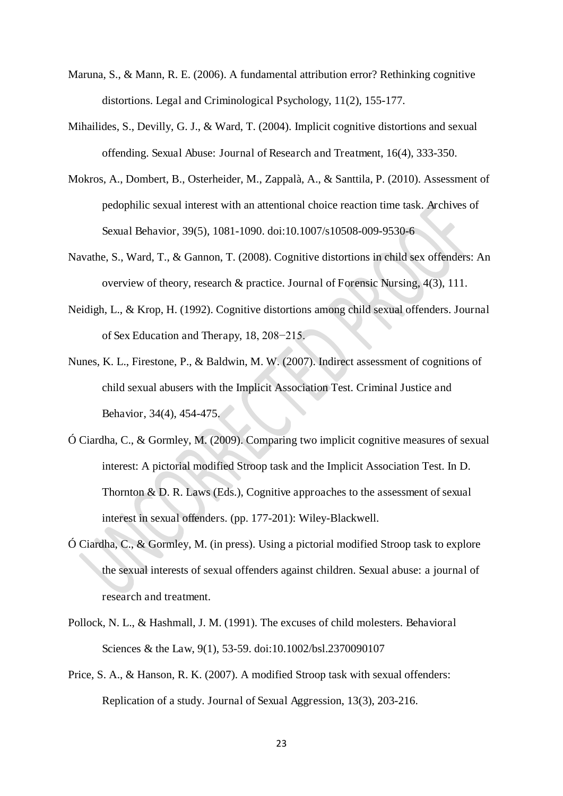- Maruna, S., & Mann, R. E. (2006). A fundamental attribution error? Rethinking cognitive distortions. Legal and Criminological Psychology, 11(2), 155-177.
- Mihailides, S., Devilly, G. J., & Ward, T. (2004). Implicit cognitive distortions and sexual offending. Sexual Abuse: Journal of Research and Treatment, 16(4), 333-350.
- Mokros, A., Dombert, B., Osterheider, M., Zappalà, A., & Santtila, P. (2010). Assessment of pedophilic sexual interest with an attentional choice reaction time task. Archives of Sexual Behavior, 39(5), 1081-1090. doi:10.1007/s10508-009-9530-6
- Navathe, S., Ward, T., & Gannon, T. (2008). Cognitive distortions in child sex offenders: An overview of theory, research & practice. Journal of Forensic Nursing, 4(3), 111.
- Neidigh, L., & Krop, H. (1992). Cognitive distortions among child sexual offenders. Journal of Sex Education and Therapy, 18, 208−215.
- Nunes, K. L., Firestone, P., & Baldwin, M. W. (2007). Indirect assessment of cognitions of child sexual abusers with the Implicit Association Test. Criminal Justice and Behavior, 34(4), 454-475.
- Ó Ciardha, C., & Gormley, M. (2009). Comparing two implicit cognitive measures of sexual interest: A pictorial modified Stroop task and the Implicit Association Test. In D. Thornton & D. R. Laws (Eds.), Cognitive approaches to the assessment of sexual interest in sexual offenders. (pp. 177-201): Wiley-Blackwell.
- Ó Ciardha, C., & Gormley, M. (in press). Using a pictorial modified Stroop task to explore the sexual interests of sexual offenders against children. Sexual abuse: a journal of research and treatment.
- Pollock, N. L., & Hashmall, J. M. (1991). The excuses of child molesters. Behavioral Sciences & the Law, 9(1), 53-59. doi:10.1002/bsl.2370090107
- Price, S. A., & Hanson, R. K. (2007). A modified Stroop task with sexual offenders: Replication of a study. Journal of Sexual Aggression, 13(3), 203-216.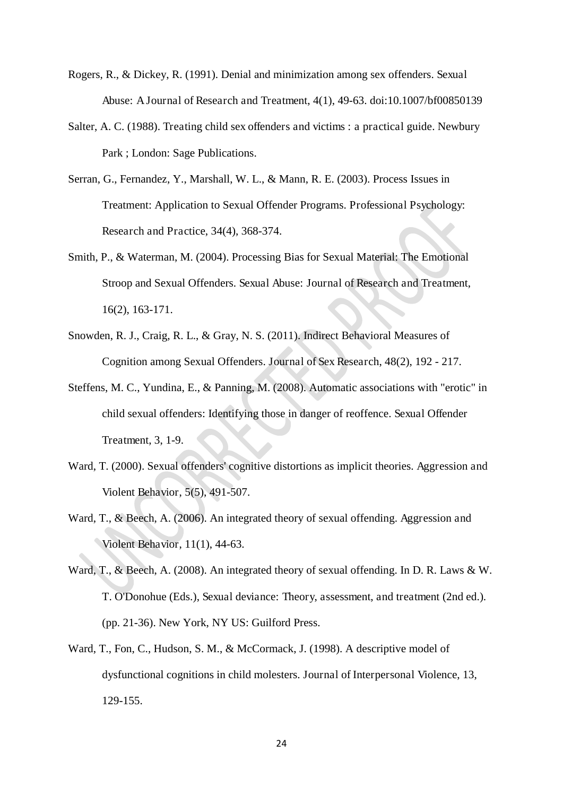- Rogers, R., & Dickey, R. (1991). Denial and minimization among sex offenders. Sexual Abuse: A Journal of Research and Treatment, 4(1), 49-63. doi:10.1007/bf00850139
- Salter, A. C. (1988). Treating child sex offenders and victims : a practical guide. Newbury Park ; London: Sage Publications.
- Serran, G., Fernandez, Y., Marshall, W. L., & Mann, R. E. (2003). Process Issues in Treatment: Application to Sexual Offender Programs. Professional Psychology: Research and Practice, 34(4), 368-374.
- Smith, P., & Waterman, M. (2004). Processing Bias for Sexual Material: The Emotional Stroop and Sexual Offenders. Sexual Abuse: Journal of Research and Treatment, 16(2), 163-171.
- Snowden, R. J., Craig, R. L., & Gray, N. S. (2011). Indirect Behavioral Measures of Cognition among Sexual Offenders. Journal of Sex Research, 48(2), 192 - 217.
- Steffens, M. C., Yundina, E., & Panning, M. (2008). Automatic associations with "erotic" in child sexual offenders: Identifying those in danger of reoffence. Sexual Offender Treatment, 3, 1-9.
- Ward, T. (2000). Sexual offenders' cognitive distortions as implicit theories. Aggression and Violent Behavior, 5(5), 491-507.
- Ward, T., & Beech, A. (2006). An integrated theory of sexual offending. Aggression and Violent Behavior, 11(1), 44-63.
- Ward, T., & Beech, A. (2008). An integrated theory of sexual offending. In D. R. Laws & W. T. O'Donohue (Eds.), Sexual deviance: Theory, assessment, and treatment (2nd ed.). (pp. 21-36). New York, NY US: Guilford Press.
- Ward, T., Fon, C., Hudson, S. M., & McCormack, J. (1998). A descriptive model of dysfunctional cognitions in child molesters. Journal of Interpersonal Violence, 13, 129-155.